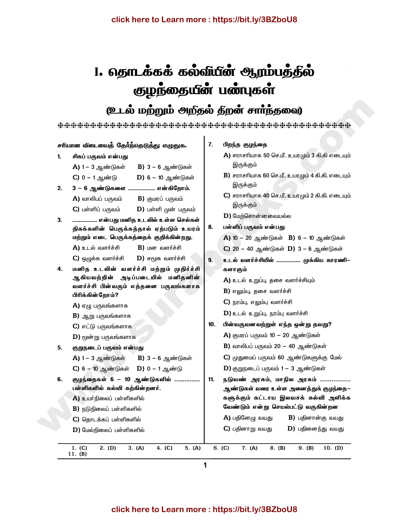# 1. தொடக்கக் கல்வீயீன் ஆரம்பத்தில் குழந்தையீன் பண்புகள்

## (உடல் மற்றும் அறிதல் திறன் சாாந்தவை)

 $\mathbf{I}$ 

| சாீயான வீடையைத் தோீ்ந்தெடுத்து எழுதுக. |                                                           | 7.  | பிறந்த குழந்தை                                     |
|----------------------------------------|-----------------------------------------------------------|-----|----------------------------------------------------|
| 1.                                     | சிசுப் பருவம் என்பது                                      |     | A) சராசரியாக 50 செ.மீ. உயரமும் 3 கி.கி எடையும்     |
|                                        | B) 3 – 6 ஆண்டுகள்<br><b>A)</b> 1 – 3 ஆண்டுகள்             |     | இருக்கும்                                          |
|                                        | <b>D) 6 – 10</b> ஆண்டுகள்<br>$C$ ) 0 – 1 ஆண்டு            |     | B) சராசரியாக 60 செ.மீ. உயரமும் 4 கி.கி. எடையும்    |
| 2.                                     | 3 - 6 ஆண்டுகளை  என்கிறோம்.                                |     | இருக்கும்                                          |
|                                        | $A$ ) வாலிபப் பருவம்<br><b>B)</b> குமரப் பருவம்           |     | $C$ ) சராசரியாக 40 செ.மீ. உயரமும் 2 கி.கி. எடையும் |
|                                        | $C$ ) பள்ளிப் பருவம்<br>$\bf D)$ பள்ளி முன் பருவம்        |     | இருக்கும்                                          |
| 3.                                     | என்பது மனித உடலில் உள்ள செல்கள்                           |     | $D$ ) மேற்சொன்னவையல்ல                              |
|                                        | திசுக்களின் பெருக்கத்தால் ஏற்படும் உயரம்                  | 8.  | பள்ளிப் பருவம் என்பது                              |
|                                        | மற்றும் எடை பெருக்கத்தைக் குறிக்கின்றது.                  |     | A) 10 - 20 ஆண்டுகள் B) 6 - 10 ஆண்டுகள்             |
|                                        | A) உடல் வளர்ச்சி<br>$B)$ மன வளர்ச்சி                      |     | C) 20 - 40 ஆண்டுகள் D) 3 - 6 ஆண்டுகள்              |
|                                        | $C$ ) ஒழுக்க வளர்ச்சி<br>$D)$ சமூக வளர்ச்சி               | 9.  | உடல் வளர்ச்சியில்  முக்கிய காரணி—                  |
| 4.                                     | மனித உடலின் வளர்ச்சி மற்றும் முதிர்ச்சி                   |     | களாகும்                                            |
|                                        | அடிப்படையில் மனிதனின்<br>ஆகியவற்றின்                      |     | $\bf{A}$ ) உடல் உறுப்பு, தசை வளர்ச்சியும்          |
|                                        | வளர்ச்சி பின்வரும் எத்தனை பருவங்களாக<br>பிரிக்கின்றோம்?   |     | $B$ ) எலும்பு, தசை வளர்ச்சி                        |
|                                        | $A$ ) ஏழு பருவங்களாக                                      |     | $C$ ) நரம்பு, எலும்பு வளர்ச்சி                     |
|                                        | $B$ ) ஆறு பருவங்களாக                                      |     | D) உடல் உறுப்பு, நரம்பு வளர்ச்சி                   |
|                                        | $C$ ) எட்டு பருவங்களாக                                    | 10. | பின்வருவனவற்றுள் எந்த ஒன்று தவறு?                  |
|                                        | $D$ ) மூன்று பருவங்களாக                                   |     | A) குமரப் பருவம் 10 – 20 ஆண்டுகள்                  |
| 5.                                     | குறுநடைப் பருவம் என்பது                                   |     | B) வாலிபப் பருவம் 20 – 40 ஆண்டுகள்                 |
|                                        | A) 1 – 3 ஆண்டுகள் B) 3 – 6 ஆண்டுகள்                       |     | C) முதுமைப் பருவம் 60 ஆண்டுகளுக்கு மேல்            |
|                                        | $C$ ) 6 - 10 ஆண்டுகள் $D$ ) 0 - 1 ஆண்டு                   |     | D) குறுநடைப் பருவம் $1 - 3$ ஆண்டுகள்               |
| 6.                                     | குழந்தைகள் 6 – 10 ஆண்டுகளில்                              | 11. | நடுவண் அரசும், மாநில அரசும்                        |
|                                        | பள்ளிகளில் கல்வி கற்கின்றனர்.                             |     | ஆண்டுகள் வரை உள்ள அனைத்துக் குழந்தை–               |
|                                        | A) உயர்நிலைப் பள்ளிகளில்                                  |     | களுக்கும் கட்டாய இலவசக் கல்வி அளிக்க               |
|                                        | <b>B)</b> நடுநிலைப் பள்ளிகளில்                            |     | வேண்டும் என்று செயல்பட்டு வருகின்றன                |
|                                        | $C$ ) தொடக்கப் பள்ளிகளில்                                 |     | $A$ ) பதினேழு வயது<br>$B$ ) பதினான்கு வயது         |
|                                        | $D$ ) மேல்நிலைப் பள்ளிகளில்                               |     | $C$ ) பதினாறு வயது<br>$D)$ பதினைந்து வயது          |
|                                        |                                                           |     |                                                    |
|                                        | 1. (C)<br>2. (D)<br>3. (A)<br>4. (C)<br>5. (A)<br>11. (B) |     | 6. (C)<br>7. (A)<br>8. (B)<br>9. (B)<br>10. (D)    |
|                                        |                                                           |     |                                                    |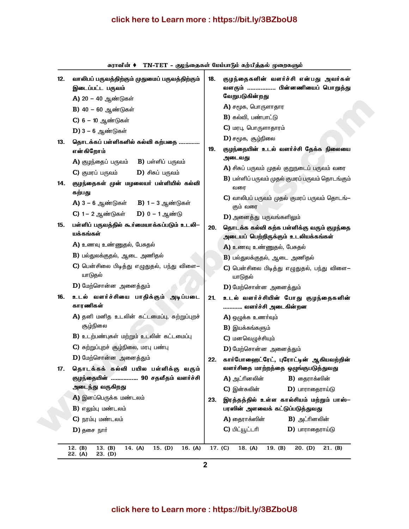### click here to Learn more : https://bit.ly/3BZboU8

| 12. | வாலிபப் பருவத்திற்கும் முதுமைப் பருவத்திற்கும்<br>இடைப்பட்ட பருவம் | 18. | குழந்தைகளின் வளர்ச்சி என்பது அவர்கள்<br>வளரும்  பின்னணியைப் பொறுத்து<br>வேறுபடுகின்றது |
|-----|--------------------------------------------------------------------|-----|----------------------------------------------------------------------------------------|
|     | A) 20 - 40 ஆண்டுகள்                                                |     | $A$ ) சமூக, பொருளாதார                                                                  |
|     | B) 40 - 60 ஆண்டுகள்                                                |     | $B$ ) கல்வி, பண்பாட்டு                                                                 |
|     | $C$ ) 6 – 10 ஆண்டுகள்                                              |     |                                                                                        |
|     | $D$ ) 3 – 6 ஆண்டுகள்                                               |     | $C$ ) மரபு, பொருளாதாரம்                                                                |
| 13. | தொடக்கப் பள்ளிகளில் கல்வி கற்பதை                                   |     | $D$ ) சமூக, சூழ்நிலை                                                                   |
|     | என்கிறோம்                                                          | 19. | குழந்தையின் உடல் வளர்ச்சி தேக்க நிலையை<br>அடைவது                                       |
| 14. | A) குழந்தைப் பருவம்<br><b>B)</b> பள்ளிப் பருவம்                    |     |                                                                                        |
|     | $C$ ) குமரப் பருவம்<br>$D)$ சிசுப் பருவம்                          |     | A) சிசுப் பருவம் முதல் குறுநடைப் பருவம் வரை                                            |
|     | குழந்தைகள் முன் மழலையர் பள்ளியில் கல்வி<br>கற்பது                  |     | B) பள்ளிப் பருவம் முதல் குமரப் பருவம் தொடங்கும்<br>வரை                                 |
|     | A) 3 – 6 ஆண்டுகள் B) 1 – 3 ஆண்டுகள்                                |     | $C$ ) வாலிபப் பருவம் முதல் குமரப் பருவம் தொடங் $-$<br>கும் வரை                         |
|     | C) 1 – 2 ஆண்டுகள் D) 0 – 1 ஆண்டு                                   |     | $D$ ) அனைத்து பருவங்களிலும்                                                            |
| 15. | பள்ளிப் பருவத்தில் கூர்மையாக்கப்படும் உடலி–<br>யக்கங்கள்           | 20. | தொடக்க கல்வி கற்க பள்ளிக்கு வரும் குழந்தை<br>அடையப் பெற்றிருக்கும் உடலியக்கங்கள்       |
|     | A) உணவு உண்ணுதல், பேசுதல்                                          |     | A) உணவு உண்ணுதல், பேசுதல்                                                              |
|     | B) பல்துலக்குதல், ஆடை அணிதல்                                       |     | $B$ ) பல்துலக்குதல், ஆடை அணிதல்                                                        |
|     | $\mathbf C$ ) பென்சிலை பிடித்து எழுதுதல், பந்து விளை–<br>யாடுதல்   |     | $C$ ) பென்சிலை பிடித்து எழுதுதல், பந்து விளை–<br>யாடுதல்                               |
|     | D) மேற்சொன்ன அனைத்தும்                                             |     | D) மேற்சொன்ன அனைத்தும்                                                                 |
| 16. | உடல் வளர்ச்சியை பாதிக்கும் அடிப்படை<br>காரணிகள்                    | 21. | உடல் வளர்ச்சியின் போது குழந்தைகளின்<br>வளர்ச்சி அடைகின்றன                              |
|     | A) தனி மனித உடலின் கட்டமைப்பு, சுற்றுப்புறச்                       |     | A) ஒழுக்க உணர்வும்                                                                     |
|     | சூழ்நிலை                                                           |     | $B)$ இயக்கங்களும்                                                                      |
|     | B) உடற்பண்புகள் மற்றும் உடலின் கட்டமைப்பு                          |     | $C$ ) மனவெழுச்சியும்                                                                   |
|     | $C$ ) சுற்றுப்புறச் சூழ்நிலை, மரபு பண்பு                           |     | <b>D)</b> மேற்சொன்ன அனைத்தும்                                                          |
|     | <b>D)</b> மேற்சொன்ன அனைத்தும்                                      | 22. | கார்போஹைட்ரேட், புரோட்டின் ஆகியவற்றின்                                                 |
| 17. | தொடக்கக் கல்வி பயில பள்ளிக்கு வரும்                                |     | வளர்சிதை மாற்றத்தை ஒழுங்குபடுத்துவது                                                   |
|     | குழந்தையின்  90 சதவீதம் வளர்ச்சி                                   |     | A) அட்ரினலின்<br>$B$ ) தைராக்ஸின்                                                      |
|     | அடைந்து வருகிறது                                                   |     | $C$ ) இன்சுலின்<br>$D)$ பாராதைராய்டு                                                   |
|     | A) இனப்பெருக்க மண்டலம்                                             | 23. | இரத்தத்தில் உள்ள கால்சியம் மற்றும் பாஸ்–                                               |
|     | $B$ ) எலும்பு மண்டலம்                                              |     | பரஸின் அளவைக் கட்டுப்படுத்துவது                                                        |
|     | $C$ ) நரம்பு மண்டலம்                                               |     | $A$ ) தைராக்ஸின்<br><b>B)</b> அட்ரினலின்                                               |
|     | $D)$ தசை நார்                                                      |     | C) பிட்யூட்டரி<br>$D)$ பாராதைராய்டு                                                    |

 $\sim$  enterct rollers

 $\overline{2}$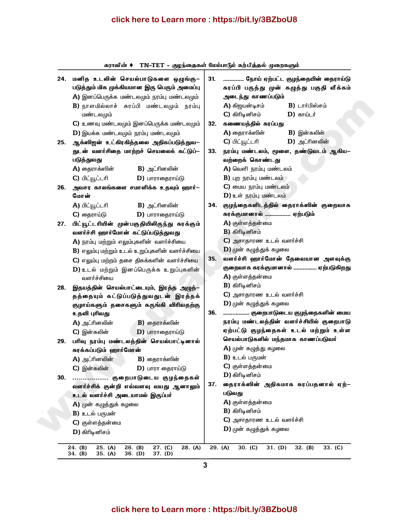#### click here to Learn more: https://bit.ly/3BZboU8

TN-TET - குழந்தைகள் மேம்பாடும் கற்பித்தல் முறைகளும் சுராவின் ♦ 24. மனித உடலின் செயல்பாடுகளை ஒழுங்கு– ............. நோய் ஏற்பட்ட குழந்தையின் தைராய்டு  $31.$ படுத்தும் மிக முக்கியமான இரு பெரும் அமைப்பு சுரப்பி பருத்து முன் கழுத்து பகுதி வீக்கம்  $\bf{A}$ ) இனப்பெருக்க மண்டலமும் நரம்பு மண்டலமும் அடைந்து காணப்படும் B) நாளமில்லாச் சுரப்பி மண்டலமும் நரம்பு  $A$ ) கிறயன்டிசம்  $B)$   $L$ ார்பிஸ்சம் மண்டலமும்  $C$ ) கிரிடினிசம்  $D)$  காய்டர் 32. கணையத்தில் சுரப்பது  $C$ ) உணவு மண்டலமும் இனப்பெருக்க மண்டலமும்  $A$ ) தைராக்ஸின் **B)** இன்சுலின்  $D$ ) இயக்க மண்டலமும் நரம்பு மண்டலமும் C) பிட்யூட்டரி  $D)$  அட்ரினலின் 25. ஆக்ஸிஜன் உட்கிரகித்தலை அதிகப்படுத்துவ– துடன் வளர்சிதை மாற்றச் செயலைக் கட்டுப்– 33. நரம்பு மண்டலம், மூளை, தண்டுவடம் ஆகிய— வற்றைக் கொண்டது படுத்துவது  $A$ ) தைராக்ஸின் **B)** அட்ரினலின்  $\bf{A}$ ) வெளி நரம்பு மண்டலம்  $B$ ) புற நரம்பு மண்டலம் C) பிட்யூட்டரி  $D)$  பாராதைராய்டு  $C$ ) மைய நரம்பு மண்டலம் 26. அவசர காலங்களை சமாளிக்க உதவும் ஹார்—  $D$ ) உள் நரம்பு மண்டலம் மோன் A) பிட்யூட்டரி **B)** அட்ரினலின் 34. குழந்தைகளிடத்தில் தைராக்ஸின் குறைவாக சுரக்குமானால் ................ ஏற்படும் C) தைராய்டு  $D)$  பாராதைராய்டு  $A)$  குள்ளத்தன்மை 27. பிட்யூட்டரியின் முன்பகுதியிலிருந்து சுரக்கும்  $B)$  கிரிடினிசம் வளர்ச்சி ஹார்மோன் கட்டுப்படுக்குவது  $C$ ) அசாதாரண உடல் வளர்ச்சி A) நரம்பு மற்றும் எலும்புகளின் வளர்ச்சியை  $\bf{D}$ ) முன் கழுத்துக் கழலை  $B$ ) எலும்பு மற்றும் உடல் உறுப்புகளின் வளர்ச்சியை வளர்ச்சி ஹார்மோன் தேவையான அளவுக்கு  $C$ ) எலும்பு மற்றம் தசை திசுக்களின் வளர்ச்சியை  $35.$ குறைவாக சுரக்குமானால் ............... ஏற்படுகிறது  $D$ ) உடல் மற்றும் இனப்பெருக்க உறுப்புகளின்  $A$ ) குள்ளத்தன்மை வளர்ச்சியை  $B)$  கிரிடினிசம் 28. இதயத்தின் செயல்பாட்டையும், இரத்த அழுத்- $C$ ) அசாகாரண உடல் வளர்ச்சி தத்தையும் கட்டுப்படுத்துவதுடன் இரத்தக்  $\mathbf{D}$ ) முன் கழுத்துக் கழலை குழாய்களும் தசைகளும் சுருங்கி விரிவதற்கு 36. ................. குறைபாடுடைய குழந்தைகளின் மைய உதவி புரிவது நரம்பு மண்டலத்தின் வளர்ச்சியில் குறைபாடு A) அட்ரினலின்  $B)$  தைராக்ஸின் ஏற்பட்டு குழந்தைகள் உடல் மற்றும் உள்ள  $C$ ) இன்சுலின்  $D)$  பாராதைராய்டு செயல்பாடுகளில் மந்தமாக காணப்படுவர் 29. பரிவு நரம்பு மண்டலத்தின் செயல்பாட்டினால் A) முன் கழுத்து கழலை சுரக்கப்படும் ஹார்மோன்  $B$ ) உடல் பருமன் A) அட்ரினலின்  $B$ ) தைராக்ஸின்  $C$ ) குள்ளத்தன்மை  $C$ ) இன்சுலின்  $D$ ) பாரா தைராய்டு  $D)$  கிரிடினிசம் 30. ................. குறைபாடுடைய குழந்தைகள் 37. தைராக்ஸின் அதிகமாக சுரப்பதனால் ஏற்– வளர்ச்சிக் குன்றி எவ்வளவு வயது ஆனாலும் படுவது உடல் வளர்ச்சி அடையாமல் இருப்பர் A) குள்ளத்தன்மை A) முன் கழுத்துக் கழலை  $B)$  கிரிடினிசம் **B)** உடல் பருமன்  $C$ ) அசாதாரண உடல் வளர்ச்சி  $C$ ) குள்ளத்தன்மை  $D$ ) முன் கழுத்துக் கழலை  $D)$  கிரிடினிசம்  $27. (C)$  $28. (A)$ 29. (A)  $24.$  (B)  $25. (A)$  $26.$  (B)  $30. (C)$  $31. (D)$  $32. (B)$  $33. (C)$  $34.$  (B)  $35. (A)$  $36.$  (D)  $37.$  (D)

3